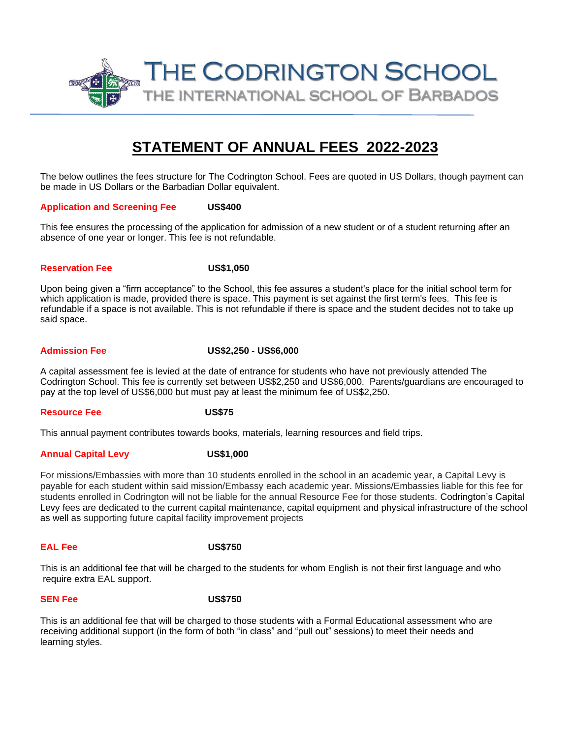

# **STATEMENT OF ANNUAL FEES 2022-2023**

The below outlines the fees structure for The Codrington School. Fees are quoted in US Dollars, though payment can be made in US Dollars or the Barbadian Dollar equivalent.

## **Application and Screening Fee US\$400**

This fee ensures the processing of the application for admission of a new student or of a student returning after an absence of one year or longer. This fee is not refundable.

## **Reservation Fee US\$1,050**

Upon being given a "firm acceptance" to the School, this fee assures a student's place for the initial school term for which application is made, provided there is space. This payment is set against the first term's fees. This fee is refundable if a space is not available. This is not refundable if there is space and the student decides not to take up said space.

# **Admission Fee US\$2,250 - US\$6,000**

A capital assessment fee is levied at the date of entrance for students who have not previously attended The Codrington School. This fee is currently set between US\$2,250 and US\$6,000. Parents/guardians are encouraged to pay at the top level of US\$6,000 but must pay at least the minimum fee of US\$2,250.

## **Resource Fee US\$75**

This annual payment contributes towards books, materials, learning resources and field trips.

# **Annual Capital Levy US\$1,000**

For missions/Embassies with more than 10 students enrolled in the school in an academic year, a Capital Levy is payable for each student within said mission/Embassy each academic year. Missions/Embassies liable for this fee for students enrolled in Codrington will not be liable for the annual Resource Fee for those students. Codrington's Capital Levy fees are dedicated to the current capital maintenance, capital equipment and physical infrastructure of the school as well as supporting future capital facility improvement projects

# **EAL Fee US\$750**

This is an additional fee that will be charged to the students for whom English is not their first language and who require extra EAL support.

# **SEN Fee** US\$750

This is an additional fee that will be charged to those students with a Formal Educational assessment who are receiving additional support (in the form of both "in class" and "pull out" sessions) to meet their needs and learning styles.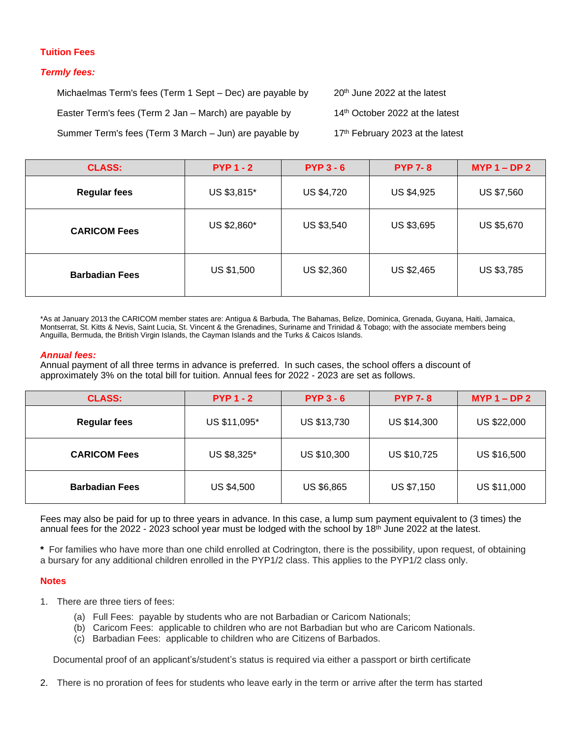# **Tuition Fees**

# *Termly fees:*

Michaelmas Term's fees (Term 1 Sept – Dec) are payable by  $20^{th}$  June 2022 at the latest Easter Term's fees (Term 2 Jan – March) are payable by  $14<sup>th</sup>$  October 2022 at the latest Summer Term's fees (Term 3 March – Jun) are payable by  $17<sup>th</sup>$  February 2023 at the latest

| <b>CLASS:</b>         | $PYP 1 - 2$ | $PYP3 - 6$        | <b>PYP 7-8</b> | $MYP 1 - DP 2$ |
|-----------------------|-------------|-------------------|----------------|----------------|
| <b>Regular fees</b>   | US \$3,815* | <b>US \$4,720</b> | US \$4,925     | US \$7,560     |
| <b>CARICOM Fees</b>   | US \$2,860* | US \$3,540        | US \$3,695     | US \$5,670     |
| <b>Barbadian Fees</b> | US \$1,500  | US \$2,360        | US \$2,465     | US \$3,785     |

\*As at January 2013 the CARICOM member states are: Antigua & Barbuda, The Bahamas, Belize, Dominica, Grenada, Guyana, Haiti, Jamaica, Montserrat, St. Kitts & Nevis, Saint Lucia, St. Vincent & the Grenadines, Suriname and Trinidad & Tobago; with the associate members being Anguilla, Bermuda, the British Virgin Islands, the Cayman Islands and the Turks & Caicos Islands.

### *Annual fees:*

Annual payment of all three terms in advance is preferred. In such cases, the school offers a discount of approximately 3% on the total bill for tuition. Annual fees for 2022 - 2023 are set as follows.

| <b>CLASS:</b>         | $PYP1 - 2$        | $PYP3 - 6$  | <b>PYP 7-8</b>     | $MYP 1 - DP 2$ |
|-----------------------|-------------------|-------------|--------------------|----------------|
| <b>Regular fees</b>   | US \$11,095*      | US \$13,730 | <b>US \$14,300</b> | US \$22,000    |
| <b>CARICOM Fees</b>   | US \$8,325*       | US \$10,300 | US \$10,725        | US \$16,500    |
| <b>Barbadian Fees</b> | <b>US \$4,500</b> | US \$6,865  | US \$7,150         | US \$11,000    |

Fees may also be paid for up to three years in advance. In this case, a lump sum payment equivalent to (3 times) the annual fees for the 2022 - 2023 school year must be lodged with the school by 18<sup>th</sup> June 2022 at the latest.

**\*** For families who have more than one child enrolled at Codrington, there is the possibility, upon request, of obtaining a bursary for any additional children enrolled in the PYP1/2 class. This applies to the PYP1/2 class only.

## **Notes**

- 1. There are three tiers of fees:
	- (a) Full Fees: payable by students who are not Barbadian or Caricom Nationals;
	- (b) Caricom Fees: applicable to children who are not Barbadian but who are Caricom Nationals.
	- (c) Barbadian Fees: applicable to children who are Citizens of Barbados.

Documental proof of an applicant's/student's status is required via either a passport or birth certificate

2. There is no proration of fees for students who leave early in the term or arrive after the term has started